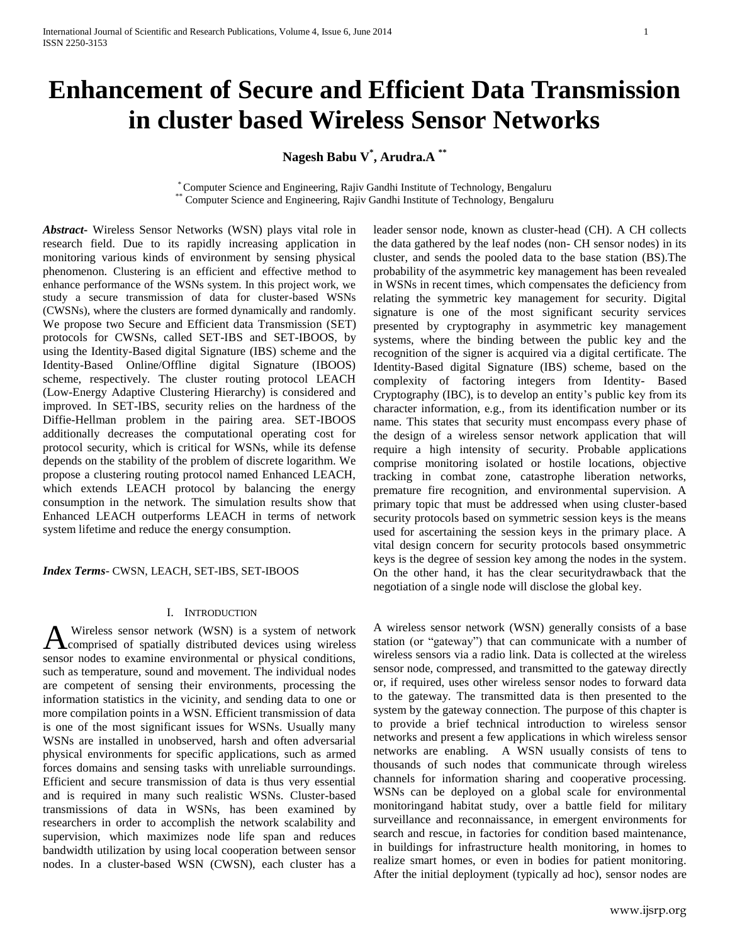# **Enhancement of Secure and Efficient Data Transmission in cluster based Wireless Sensor Networks**

**Nagesh Babu V\* , Arudra.A \*\***

\* Computer Science and Engineering, Rajiv Gandhi Institute of Technology, Bengaluru \*\* Computer Science and Engineering, Rajiv Gandhi Institute of Technology, Bengaluru

*Abstract***-** Wireless Sensor Networks (WSN) plays vital role in research field. Due to its rapidly increasing application in monitoring various kinds of environment by sensing physical phenomenon. Clustering is an efficient and effective method to enhance performance of the WSNs system. In this project work, we study a secure transmission of data for cluster-based WSNs (CWSNs), where the clusters are formed dynamically and randomly. We propose two Secure and Efficient data Transmission (SET) protocols for CWSNs, called SET-IBS and SET-IBOOS, by using the Identity-Based digital Signature (IBS) scheme and the Identity-Based Online/Offline digital Signature (IBOOS) scheme, respectively. The cluster routing protocol LEACH (Low-Energy Adaptive Clustering Hierarchy) is considered and improved. In SET-IBS, security relies on the hardness of the Diffie-Hellman problem in the pairing area. SET-IBOOS additionally decreases the computational operating cost for protocol security, which is critical for WSNs, while its defense depends on the stability of the problem of discrete logarithm. We propose a clustering routing protocol named Enhanced LEACH, which extends LEACH protocol by balancing the energy consumption in the network. The simulation results show that Enhanced LEACH outperforms LEACH in terms of network system lifetime and reduce the energy consumption.

*Index Terms*- CWSN, LEACH, SET-IBS, SET-IBOOS

## I. INTRODUCTION

Wireless sensor network (WSN) is a system of network A Wireless sensor network (WSN) is a system of network<br>Comprised of spatially distributed devices using wireless sensor nodes to examine environmental or physical conditions, such as temperature, sound and movement. The individual nodes are competent of sensing their environments, processing the information statistics in the vicinity, and sending data to one or more compilation points in a WSN. Efficient transmission of data is one of the most significant issues for WSNs. Usually many WSNs are installed in unobserved, harsh and often adversarial physical environments for specific applications, such as armed forces domains and sensing tasks with unreliable surroundings. Efficient and secure transmission of data is thus very essential and is required in many such realistic WSNs. Cluster-based transmissions of data in WSNs, has been examined by researchers in order to accomplish the network scalability and supervision, which maximizes node life span and reduces bandwidth utilization by using local cooperation between sensor nodes. In a cluster-based WSN (CWSN), each cluster has a

leader sensor node, known as cluster-head (CH). A CH collects the data gathered by the leaf nodes (non- CH sensor nodes) in its cluster, and sends the pooled data to the base station (BS).The probability of the asymmetric key management has been revealed in WSNs in recent times, which compensates the deficiency from relating the symmetric key management for security. Digital signature is one of the most significant security services presented by cryptography in asymmetric key management systems, where the binding between the public key and the recognition of the signer is acquired via a digital certificate. The Identity-Based digital Signature (IBS) scheme, based on the complexity of factoring integers from Identity- Based Cryptography (IBC), is to develop an entity's public key from its character information, e.g., from its identification number or its name. This states that security must encompass every phase of the design of a wireless sensor network application that will require a high intensity of security. Probable applications comprise monitoring isolated or hostile locations, objective tracking in combat zone, catastrophe liberation networks, premature fire recognition, and environmental supervision. A primary topic that must be addressed when using cluster-based security protocols based on symmetric session keys is the means used for ascertaining the session keys in the primary place. A vital design concern for security protocols based onsymmetric keys is the degree of session key among the nodes in the system. On the other hand, it has the clear securitydrawback that the negotiation of a single node will disclose the global key.

A wireless sensor network (WSN) generally consists of a base station (or "gateway") that can communicate with a number of wireless sensors via a radio link. Data is collected at the wireless sensor node, compressed, and transmitted to the gateway directly or, if required, uses other wireless sensor nodes to forward data to the gateway. The transmitted data is then presented to the system by the gateway connection. The purpose of this chapter is to provide a brief technical introduction to wireless sensor networks and present a few applications in which wireless sensor networks are enabling. A WSN usually consists of tens to thousands of such nodes that communicate through wireless channels for information sharing and cooperative processing. WSNs can be deployed on a global scale for environmental monitoringand habitat study, over a battle field for military surveillance and reconnaissance, in emergent environments for search and rescue, in factories for condition based maintenance, in buildings for infrastructure health monitoring, in homes to realize smart homes, or even in bodies for patient monitoring. After the initial deployment (typically ad hoc), sensor nodes are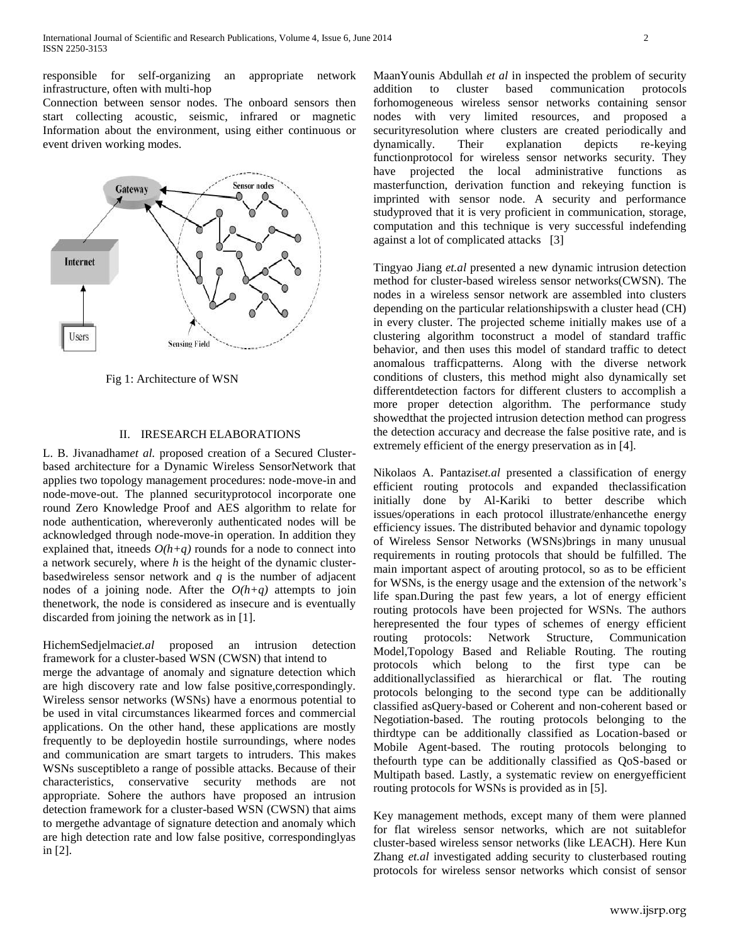responsible for self-organizing an appropriate network infrastructure, often with multi-hop

Connection between sensor nodes. The onboard sensors then start collecting acoustic, seismic, infrared or magnetic Information about the environment, using either continuous or event driven working modes.



Fig 1: Architecture of WSN

## II. IRESEARCH ELABORATIONS

L. B. Jivanadham*et al.* proposed creation of a Secured Clusterbased architecture for a Dynamic Wireless SensorNetwork that applies two topology management procedures: node-move-in and node-move-out. The planned securityprotocol incorporate one round Zero Knowledge Proof and AES algorithm to relate for node authentication, whereveronly authenticated nodes will be acknowledged through node-move-in operation. In addition they explained that, itneeds  $O(h+q)$  rounds for a node to connect into a network securely, where *h* is the height of the dynamic clusterbasedwireless sensor network and *q* is the number of adjacent nodes of a joining node. After the  $O(h+q)$  attempts to join thenetwork, the node is considered as insecure and is eventually discarded from joining the network as in [1].

HichemSedjelmaci*et.al* proposed an intrusion detection framework for a cluster-based WSN (CWSN) that intend to merge the advantage of anomaly and signature detection which are high discovery rate and low false positive,correspondingly. Wireless sensor networks (WSNs) have a enormous potential to be used in vital circumstances likearmed forces and commercial applications. On the other hand, these applications are mostly frequently to be deployedin hostile surroundings, where nodes and communication are smart targets to intruders. This makes WSNs susceptibleto a range of possible attacks. Because of their characteristics, conservative security methods are not appropriate. Sohere the authors have proposed an intrusion detection framework for a cluster-based WSN (CWSN) that aims to mergethe advantage of signature detection and anomaly which are high detection rate and low false positive, correspondinglyas in [2].

MaanYounis Abdullah *et al* in inspected the problem of security addition to cluster based communication protocols forhomogeneous wireless sensor networks containing sensor nodes with very limited resources, and proposed a securityresolution where clusters are created periodically and dynamically. Their explanation depicts re-keying functionprotocol for wireless sensor networks security. They have projected the local administrative functions as masterfunction, derivation function and rekeying function is imprinted with sensor node. A security and performance studyproved that it is very proficient in communication, storage, computation and this technique is very successful indefending against a lot of complicated attacks [3]

Tingyao Jiang *et.al* presented a new dynamic intrusion detection method for cluster-based wireless sensor networks(CWSN). The nodes in a wireless sensor network are assembled into clusters depending on the particular relationshipswith a cluster head (CH) in every cluster. The projected scheme initially makes use of a clustering algorithm toconstruct a model of standard traffic behavior, and then uses this model of standard traffic to detect anomalous trafficpatterns. Along with the diverse network conditions of clusters, this method might also dynamically set differentdetection factors for different clusters to accomplish a more proper detection algorithm. The performance study showedthat the projected intrusion detection method can progress the detection accuracy and decrease the false positive rate, and is extremely efficient of the energy preservation as in [4].

Nikolaos A. Pantazis*et.al* presented a classification of energy efficient routing protocols and expanded theclassification initially done by Al-Kariki to better describe which issues/operations in each protocol illustrate/enhancethe energy efficiency issues. The distributed behavior and dynamic topology of Wireless Sensor Networks (WSNs)brings in many unusual requirements in routing protocols that should be fulfilled. The main important aspect of arouting protocol, so as to be efficient for WSNs, is the energy usage and the extension of the network's life span.During the past few years, a lot of energy efficient routing protocols have been projected for WSNs. The authors herepresented the four types of schemes of energy efficient routing protocols: Network Structure, Communication Model,Topology Based and Reliable Routing. The routing protocols which belong to the first type can be additionallyclassified as hierarchical or flat. The routing protocols belonging to the second type can be additionally classified asQuery-based or Coherent and non-coherent based or Negotiation-based. The routing protocols belonging to the thirdtype can be additionally classified as Location-based or Mobile Agent-based. The routing protocols belonging to thefourth type can be additionally classified as QoS-based or Multipath based. Lastly, a systematic review on energyefficient routing protocols for WSNs is provided as in [5].

Key management methods, except many of them were planned for flat wireless sensor networks, which are not suitablefor cluster-based wireless sensor networks (like LEACH). Here Kun Zhang *et.al* investigated adding security to clusterbased routing protocols for wireless sensor networks which consist of sensor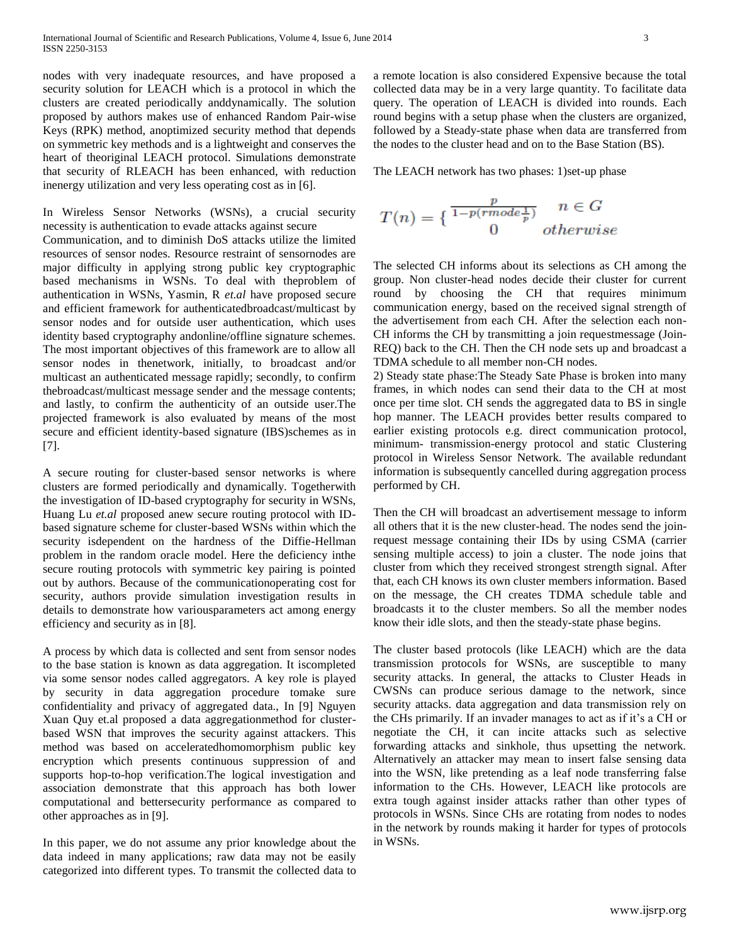nodes with very inadequate resources, and have proposed a security solution for LEACH which is a protocol in which the clusters are created periodically anddynamically. The solution proposed by authors makes use of enhanced Random Pair-wise Keys (RPK) method, anoptimized security method that depends on symmetric key methods and is a lightweight and conserves the heart of theoriginal LEACH protocol. Simulations demonstrate that security of RLEACH has been enhanced, with reduction inenergy utilization and very less operating cost as in [6].

In Wireless Sensor Networks (WSNs), a crucial security necessity is authentication to evade attacks against secure Communication, and to diminish DoS attacks utilize the limited resources of sensor nodes. Resource restraint of sensornodes are major difficulty in applying strong public key cryptographic based mechanisms in WSNs. To deal with theproblem of authentication in WSNs, Yasmin, R *et.al* have proposed secure and efficient framework for authenticatedbroadcast/multicast by sensor nodes and for outside user authentication, which uses identity based cryptography andonline/offline signature schemes. The most important objectives of this framework are to allow all sensor nodes in thenetwork, initially, to broadcast and/or multicast an authenticated message rapidly; secondly, to confirm thebroadcast/multicast message sender and the message contents; and lastly, to confirm the authenticity of an outside user.The projected framework is also evaluated by means of the most secure and efficient identity-based signature (IBS)schemes as in [7].

A secure routing for cluster-based sensor networks is where clusters are formed periodically and dynamically. Togetherwith the investigation of ID-based cryptography for security in WSNs, Huang Lu *et.al* proposed anew secure routing protocol with IDbased signature scheme for cluster-based WSNs within which the security isdependent on the hardness of the Diffie-Hellman problem in the random oracle model. Here the deficiency inthe secure routing protocols with symmetric key pairing is pointed out by authors. Because of the communicationoperating cost for security, authors provide simulation investigation results in details to demonstrate how variousparameters act among energy efficiency and security as in [8].

A process by which data is collected and sent from sensor nodes to the base station is known as data aggregation. It iscompleted via some sensor nodes called aggregators. A key role is played by security in data aggregation procedure tomake sure confidentiality and privacy of aggregated data., In [9] Nguyen Xuan Quy et.al proposed a data aggregationmethod for clusterbased WSN that improves the security against attackers. This method was based on acceleratedhomomorphism public key encryption which presents continuous suppression of and supports hop-to-hop verification.The logical investigation and association demonstrate that this approach has both lower computational and bettersecurity performance as compared to other approaches as in [9].

In this paper, we do not assume any prior knowledge about the data indeed in many applications; raw data may not be easily categorized into different types. To transmit the collected data to a remote location is also considered Expensive because the total collected data may be in a very large quantity. To facilitate data query. The operation of LEACH is divided into rounds. Each round begins with a setup phase when the clusters are organized, followed by a Steady-state phase when data are transferred from the nodes to the cluster head and on to the Base Station (BS).

The LEACH network has two phases: 1)set-up phase

$$
T(n) = \{ \frac{\frac{p}{1 - p(rmode\frac{1}{p})}}{0} \frac{n \in G}{otherwise}
$$

The selected CH informs about its selections as CH among the group. Non cluster-head nodes decide their cluster for current round by choosing the CH that requires minimum communication energy, based on the received signal strength of the advertisement from each CH. After the selection each non-CH informs the CH by transmitting a join requestmessage (Join-REQ) back to the CH. Then the CH node sets up and broadcast a TDMA schedule to all member non-CH nodes.

2) Steady state phase:The Steady Sate Phase is broken into many frames, in which nodes can send their data to the CH at most once per time slot. CH sends the aggregated data to BS in single hop manner. The LEACH provides better results compared to earlier existing protocols e.g. direct communication protocol, minimum- transmission-energy protocol and static Clustering protocol in Wireless Sensor Network. The available redundant information is subsequently cancelled during aggregation process performed by CH.

Then the CH will broadcast an advertisement message to inform all others that it is the new cluster-head. The nodes send the joinrequest message containing their IDs by using CSMA (carrier sensing multiple access) to join a cluster. The node joins that cluster from which they received strongest strength signal. After that, each CH knows its own cluster members information. Based on the message, the CH creates TDMA schedule table and broadcasts it to the cluster members. So all the member nodes know their idle slots, and then the steady-state phase begins.

The cluster based protocols (like LEACH) which are the data transmission protocols for WSNs, are susceptible to many security attacks. In general, the attacks to Cluster Heads in CWSNs can produce serious damage to the network, since security attacks. data aggregation and data transmission rely on the CHs primarily. If an invader manages to act as if it's a CH or negotiate the CH, it can incite attacks such as selective forwarding attacks and sinkhole, thus upsetting the network. Alternatively an attacker may mean to insert false sensing data into the WSN, like pretending as a leaf node transferring false information to the CHs. However, LEACH like protocols are extra tough against insider attacks rather than other types of protocols in WSNs. Since CHs are rotating from nodes to nodes in the network by rounds making it harder for types of protocols in WSNs.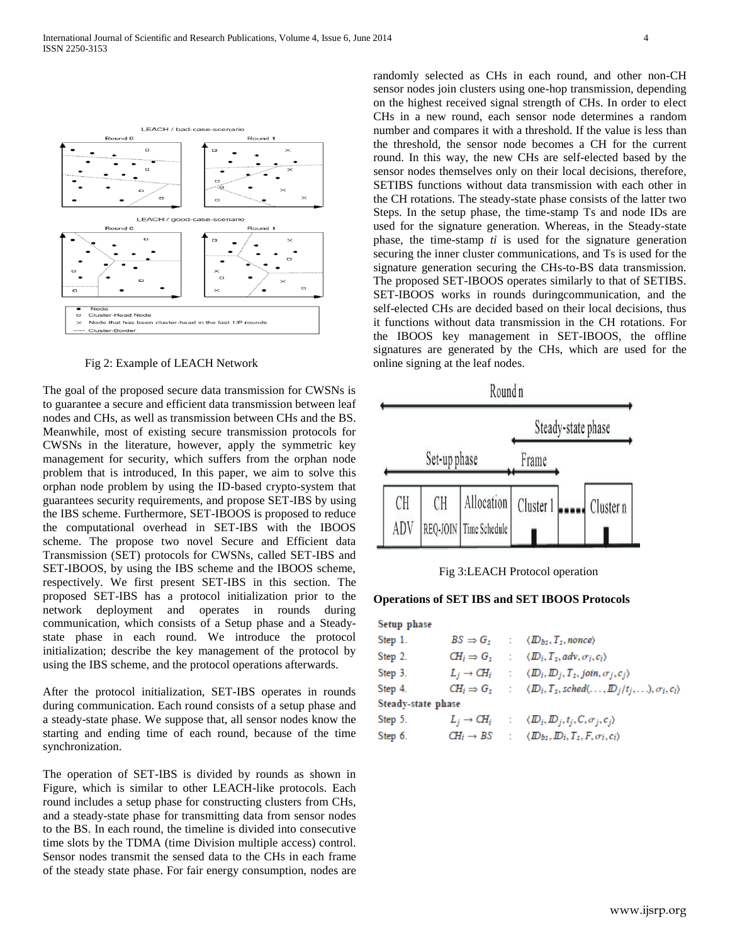

Fig 2: Example of LEACH Network

The goal of the proposed secure data transmission for CWSNs is to guarantee a secure and efficient data transmission between leaf nodes and CHs, as well as transmission between CHs and the BS. Meanwhile, most of existing secure transmission protocols for CWSNs in the literature, however, apply the symmetric key management for security, which suffers from the orphan node problem that is introduced, In this paper, we aim to solve this orphan node problem by using the ID-based crypto-system that guarantees security requirements, and propose SET-IBS by using the IBS scheme. Furthermore, SET-IBOOS is proposed to reduce the computational overhead in SET-IBS with the IBOOS scheme. The propose two novel Secure and Efficient data Transmission (SET) protocols for CWSNs, called SET-IBS and SET-IBOOS, by using the IBS scheme and the IBOOS scheme, respectively. We first present SET-IBS in this section. The proposed SET-IBS has a protocol initialization prior to the network deployment and operates in rounds during communication, which consists of a Setup phase and a Steadystate phase in each round. We introduce the protocol initialization; describe the key management of the protocol by using the IBS scheme, and the protocol operations afterwards.

After the protocol initialization, SET-IBS operates in rounds during communication. Each round consists of a setup phase and a steady-state phase. We suppose that, all sensor nodes know the starting and ending time of each round, because of the time synchronization.

The operation of SET-IBS is divided by rounds as shown in Figure, which is similar to other LEACH-like protocols. Each round includes a setup phase for constructing clusters from CHs, and a steady-state phase for transmitting data from sensor nodes to the BS. In each round, the timeline is divided into consecutive time slots by the TDMA (time Division multiple access) control. Sensor nodes transmit the sensed data to the CHs in each frame of the steady state phase. For fair energy consumption, nodes are randomly selected as CHs in each round, and other non-CH sensor nodes join clusters using one-hop transmission, depending on the highest received signal strength of CHs. In order to elect CHs in a new round, each sensor node determines a random number and compares it with a threshold. If the value is less than the threshold, the sensor node becomes a CH for the current round. In this way, the new CHs are self-elected based by the sensor nodes themselves only on their local decisions, therefore, SETIBS functions without data transmission with each other in the CH rotations. The steady-state phase consists of the latter two Steps. In the setup phase, the time-stamp Ts and node IDs are used for the signature generation. Whereas, in the Steady-state phase, the time-stamp *ti* is used for the signature generation securing the inner cluster communications, and Ts is used for the signature generation securing the CHs-to-BS data transmission. The proposed SET-IBOOS operates similarly to that of SETIBS. SET-IBOOS works in rounds duringcommunication, and the self-elected CHs are decided based on their local decisions, thus it functions without data transmission in the CH rotations. For the IBOOS key management in SET-IBOOS, the offline signatures are generated by the CHs, which are used for the online signing at the leaf nodes.



Fig 3:LEACH Protocol operation

## **Operations of SET IBS and SET IBOOS Protocols**

| Setup phase        |                           |                |                                                                                                           |
|--------------------|---------------------------|----------------|-----------------------------------------------------------------------------------------------------------|
| Step 1.            | $BS \Rightarrow G_{\tau}$ |                | : $\langle I\!D_{bs}, T_s, \text{nonce} \rangle$                                                          |
| Step 2.            | $CH_i \Rightarrow G_i$    | ÷              | $\langle I\!D_i, T_s, adv, \sigma_i, c_i \rangle$                                                         |
| Step 3.            | $L_i \rightarrow CH_i$    | $\sim 10^{-1}$ | $\langle I\!D_i, I\!D_j, T_s, join, \sigma_j, c_j \rangle$                                                |
| Step 4.            |                           |                | $CH_i \Rightarrow G_5$ : $\langle D_i, T_5, \text{sched}(\ldots, D_j/t_j, \ldots), \sigma_i, c_i \rangle$ |
| Steady-state phase |                           |                |                                                                                                           |
| Step 5.            | $L_i \rightarrow CH_i$ :  |                | $\langle D_i, D_j, t_j, C, \sigma_j, c_j \rangle$                                                         |
| Step 6.            | $CH_i \rightarrow BS$     |                | $\langle I\!D_{b_5}, I\!D_i, T_5, F, \sigma_i, c_i \rangle$                                               |
|                    |                           |                |                                                                                                           |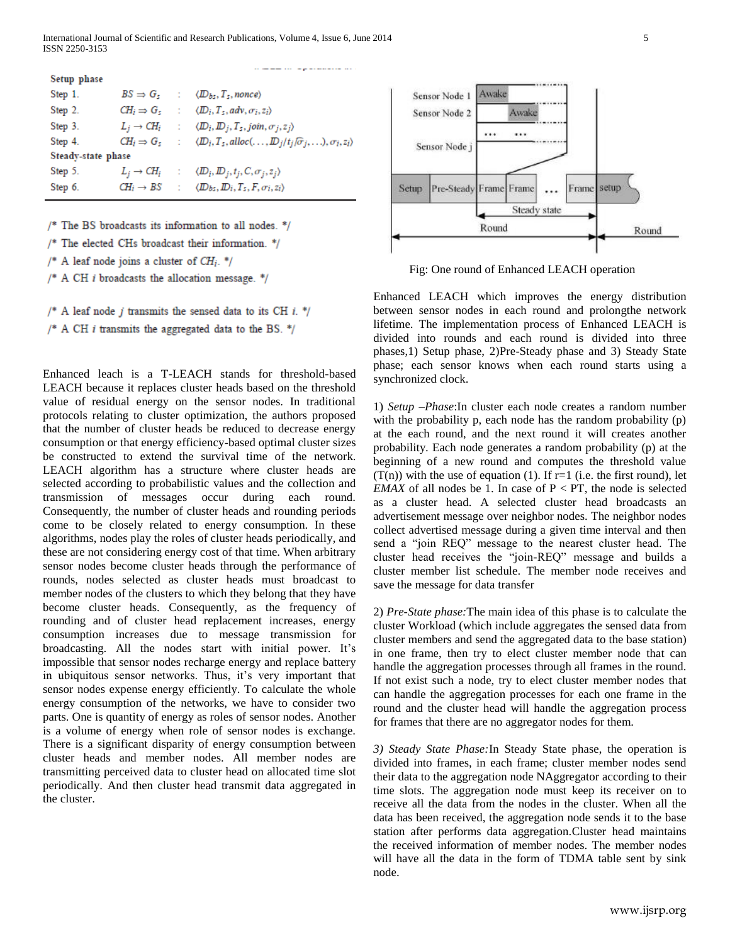International Journal of Scientific and Research Publications, Volume 4, Issue 6, June 2014 5 ISSN 2250-3153

<u>a da salabadanada d</u>a

Setup phase

| Step 1.            |                          |      | $BS \Rightarrow G_5$ : $\langle I\!I\!D_{bs}, T_5, \text{nonce}\rangle$                                   |
|--------------------|--------------------------|------|-----------------------------------------------------------------------------------------------------------|
| Step 2.            | $CH_i \Rightarrow G_i$   |      | $\langle I\!D_i, T_s, adv, \sigma_i, z_i \rangle$                                                         |
| Step 3.            | $L_i \rightarrow CH_i$   | i Di | $\langle I\!D_i, I\!D_j, T_s, join, \sigma_j, z_j \rangle$                                                |
| Step 4.            | $CH_i \Rightarrow G_i$   | ÷    | $\langle I\!D_i, T_5, \text{alloc}(\ldots, I\!D_j/t_j/\widehat{\sigma}_j, \ldots), \sigma_i, z_i \rangle$ |
| Steady-state phase |                          |      |                                                                                                           |
| Step 5.            | $L_j \rightarrow CH_i$ : |      | $\langle I\!D_i, I\!D_i, t_i, C, \sigma_i, z_i \rangle$                                                   |
| Step 6.            | $CH_i \rightarrow BS$    |      | $\langle \mathcal{D}_{bs}, \mathcal{D}_i, T_s, F, \sigma_i, z_i \rangle$                                  |
|                    |                          |      |                                                                                                           |

/\* The BS broadcasts its information to all nodes. \*/

/\* The elected CHs broadcast their information. \*/

/\* A leaf node joins a cluster of  $CH_i$ . \*/

/\* A CH  $i$  broadcasts the allocation message. \*/

/\* A leaf node j transmits the sensed data to its CH i. \*/

/\* A CH  $i$  transmits the aggregated data to the BS. \*/

Enhanced leach is a T-LEACH stands for threshold-based LEACH because it replaces cluster heads based on the threshold value of residual energy on the sensor nodes. In traditional protocols relating to cluster optimization, the authors proposed that the number of cluster heads be reduced to decrease energy consumption or that energy efficiency-based optimal cluster sizes be constructed to extend the survival time of the network. LEACH algorithm has a structure where cluster heads are selected according to probabilistic values and the collection and transmission of messages occur during each round. Consequently, the number of cluster heads and rounding periods come to be closely related to energy consumption. In these algorithms, nodes play the roles of cluster heads periodically, and these are not considering energy cost of that time. When arbitrary sensor nodes become cluster heads through the performance of rounds, nodes selected as cluster heads must broadcast to member nodes of the clusters to which they belong that they have become cluster heads. Consequently, as the frequency of rounding and of cluster head replacement increases, energy consumption increases due to message transmission for broadcasting. All the nodes start with initial power. It's impossible that sensor nodes recharge energy and replace battery in ubiquitous sensor networks. Thus, it's very important that sensor nodes expense energy efficiently. To calculate the whole energy consumption of the networks, we have to consider two parts. One is quantity of energy as roles of sensor nodes. Another is a volume of energy when role of sensor nodes is exchange. There is a significant disparity of energy consumption between cluster heads and member nodes. All member nodes are transmitting perceived data to cluster head on allocated time slot periodically. And then cluster head transmit data aggregated in the cluster.



Fig: One round of Enhanced LEACH operation

Enhanced LEACH which improves the energy distribution between sensor nodes in each round and prolongthe network lifetime. The implementation process of Enhanced LEACH is divided into rounds and each round is divided into three phases,1) Setup phase, 2)Pre-Steady phase and 3) Steady State phase; each sensor knows when each round starts using a synchronized clock.

1) *Setup –Phase*:In cluster each node creates a random number with the probability p, each node has the random probability (p) at the each round, and the next round it will creates another probability. Each node generates a random probability (p) at the beginning of a new round and computes the threshold value  $(T(n))$  with the use of equation (1). If  $r=1$  (i.e. the first round), let *EMAX* of all nodes be 1. In case of  $P < PT$ , the node is selected as a cluster head. A selected cluster head broadcasts an advertisement message over neighbor nodes. The neighbor nodes collect advertised message during a given time interval and then send a "join REQ" message to the nearest cluster head. The cluster head receives the "join-REQ" message and builds a cluster member list schedule. The member node receives and save the message for data transfer

2) *Pre-State phase:*The main idea of this phase is to calculate the cluster Workload (which include aggregates the sensed data from cluster members and send the aggregated data to the base station) in one frame, then try to elect cluster member node that can handle the aggregation processes through all frames in the round. If not exist such a node, try to elect cluster member nodes that can handle the aggregation processes for each one frame in the round and the cluster head will handle the aggregation process for frames that there are no aggregator nodes for them.

*3) Steady State Phase:*In Steady State phase, the operation is divided into frames, in each frame; cluster member nodes send their data to the aggregation node NAggregator according to their time slots. The aggregation node must keep its receiver on to receive all the data from the nodes in the cluster. When all the data has been received, the aggregation node sends it to the base station after performs data aggregation.Cluster head maintains the received information of member nodes. The member nodes will have all the data in the form of TDMA table sent by sink node.